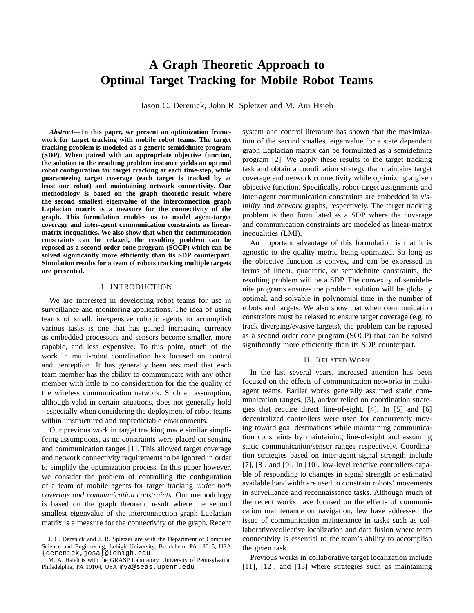# **A Graph Theoretic Approach to Optimal Target Tracking for Mobile Robot Teams**

Jason C. Derenick, John R. Spletzer and M. Ani Hsieh

*Abstract***— In this paper, we present an optimization framework for target tracking with mobile robot teams. The target tracking problem is modeled as a generic semidefinite program (SDP). When paired with an appropriate objective function, the solution to the resulting problem instance yields an optimal robot configuration for target tracking at each time-step, while guaranteeing target coverage (each target is tracked by at least one robot) and maintaining network connectivity. Our methodology is based on the graph theoretic result where the second smallest eigenvalue of the interconnection graph Laplacian matrix is a measure for the connectivity of the graph. This formulation enables us to model agent-target coverage and inter-agent communication constraints as linearmatrix inequalities. We also show that when the communication constraints can be relaxed, the resulting problem can be reposed as a second-order cone program (SOCP) which can be solved significantly more efficiently than its SDP counterpart. Simulation results for a team of robots tracking multiple targets are presented.**

# I. INTRODUCTION

We are interested in developing robot teams for use in surveillance and monitoring applications. The idea of using teams of small, inexpensive robotic agents to accomplish various tasks is one that has gained increasing currency as embedded processors and sensors become smaller, more capable, and less expensive. To this point, much of the work in multi-robot coordination has focused on control and perception. It has generally been assumed that each team member has the ability to communicate with any other member with little to no consideration for the the quality of the wireless communication network. Such an assumption, although valid in certain situations, does not generally hold - especially when considering the deployment of robot teams within unstructured and unpredictable environments.

Our previous work in target tracking made similar simplifying assumptions, as no constraints were placed on sensing and communication ranges [1]. This allowed target coverage and network connectivity requirements to be ignored in order to simplify the optimization process. In this paper however, we consider the problem of controlling the configuration of a team of mobile agents for target tracking *under both coverage and communication constraints*. Our methodology is based on the graph theoretic result where the second smallest eigenvalue of the interconnection graph Laplacian matrix is a measure for the connectivity of the graph. Recent system and control literature has shown that the maximization of the second smallest eigenvalue for a state dependent graph Laplacian matrix can be formulated as a semidefinite program [2]. We apply these results to the target tracking task and obtain a coordination strategy that maintains target coverage and network connectivity while optimizing a given objective function. Specifically, robot-target assignments and inter-agent communication constraints are embedded in *visibility* and *network* graphs, respectively. The target tracking problem is then formulated as a SDP where the coverage and communication constraints are modeled as linear-matrix inequalities (LMI).

An important advantage of this formulation is that it is agnostic to the quality metric being optimized. So long as the objective function is convex, and can be expressed in terms of linear, quadratic, or semidefinite constraints, the resulting problem will be a SDP. The convexity of semidefinite programs ensures the problem solution will be globally optimal, and solvable in polynomial time in the number of robots and targets. We also show that when communication constraints must be relaxed to ensure target coverage (e.g. to track diverging/evasive targets), the problem can be reposed as a second order cone program (SOCP) that can be solved significantly more efficiently than its SDP counterpart.

# II. RELATED WORK

In the last several years, increased attention has been focused on the effects of communication networks in multiagent teams. Earlier works generally assumed static communication ranges, [3], and/or relied on coordination strategies that require direct line-of-sight, [4]. In [5] and [6] decentralized controllers were used for concurrently moving toward goal destinations while maintaining communication constraints by maintaining line-of-sight and assuming static communication/sensor ranges respectively. Coordination strategies based on inter-agent signal strength include [7], [8], and [9]. In [10], low-level reactive controllers capable of responding to changes in signal strength or estimated available bandwidth are used to constrain robots' movements in surveillance and reconnaissance tasks. Although much of the recent works have focused on the effects of communication maintenance on navigation, few have addressed the issue of communication maintenance in tasks such as collaborative/collective localization and data fusion where team connectivity is essential to the team's ability to accomplish the given task.

Previous works in collaborative target localization include [11], [12], and [13] where strategies such as maintaining

J. C. Derenick and J. R. Spletzer are with the Department of Computer Science and Engineering, Lehigh University, Bethlehem, PA 18015, USA {derenick,josa}@lehigh.edu

M. A. Hsieh is with the GRASP Laboratory, University of Pennsylvania, Philadelphia, PA 19104, USA mya@seas.upenn.edu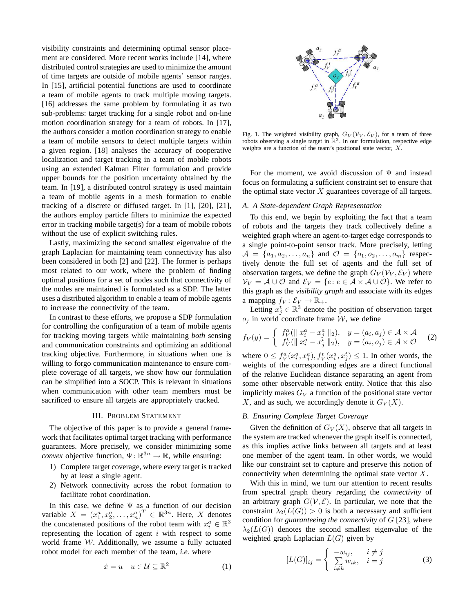visibility constraints and determining optimal sensor placement are considered. More recent works include [14], where distributed control strategies are used to minimize the amount of time targets are outside of mobile agents' sensor ranges. In [15], artificial potential functions are used to coordinate a team of mobile agents to track multiple moving targets. [16] addresses the same problem by formulating it as two sub-problems: target tracking for a single robot and on-line motion coordination strategy for a team of robots. In [17], the authors consider a motion coordination strategy to enable a team of mobile sensors to detect multiple targets within a given region. [18] analyses the accuracy of cooperative localization and target tracking in a team of mobile robots using an extended Kalman Filter formulation and provide upper bounds for the position uncertainty obtained by the team. In [19], a distributed control strategy is used maintain a team of mobile agents in a mesh formation to enable tracking of a discrete or diffused target. In [1], [20], [21], the authors employ particle filters to minimize the expected error in tracking mobile target(s) for a team of mobile robots without the use of explicit switching rules.

Lastly, maximizing the second smallest eigenvalue of the graph Laplacian for maintaining team connectivity has also been considered in both [2] and [22]. The former is perhaps most related to our work, where the problem of finding optimal positions for a set of nodes such that connectivity of the nodes are maintained is formulated as a SDP. The latter uses a distributed algorithm to enable a team of mobile agents to increase the connectivity of the team.

In contrast to these efforts, we propose a SDP formulation for controlling the configuration of a team of mobile agents for tracking moving targets while maintaining *both* sensing and communication constraints and optimizing an additional tracking objective. Furthermore, in situations when one is willing to forgo communication maintenance to ensure complete coverage of all targets, we show how our formulation can be simplified into a SOCP. This is relevant in situations when communication with other team members must be sacrificed to ensure all targets are appropriately tracked.

#### III. PROBLEM STATEMENT

The objective of this paper is to provide a general framework that facilitates optimal target tracking with performance guarantees. More precisely, we consider minimizing some *convex* objective function,  $\Psi \colon \mathbb{R}^{3n} \to \mathbb{R}$ , while ensuring:

- 1) Complete target coverage, where every target is tracked by at least a single agent.
- 2) Network connectivity across the robot formation to facilitate robot coordination.

In this case, we define  $\Psi$  as a function of our decision variable  $X = (x_1^a, x_2^a, \dots, x_n^a)^T \in \mathbb{R}^{3n}$ . Here, X denotes the concatenated positions of the robot team with  $x_i^a \in \mathbb{R}^3$ representing the location of agent  $i$  with respect to some world frame  $W$ . Additionally, we assume a fully actuated robot model for each member of the team, *i.e.* where

$$
\dot{x} = u \quad u \in \mathcal{U} \subseteq \mathbb{R}^2 \tag{1}
$$



Fig. 1. The weighted visibility graph,  $G_V(V_V, \mathcal{E}_V)$ , for a team of three robots observing a single target in  $\mathbb{R}^2$ . In our formulation, respective edge weights are a function of the team's positional state vector, X.

For the moment, we avoid discussion of  $\Psi$  and instead focus on formulating a sufficient constraint set to ensure that the optimal state vector  $X$  guarantees coverage of all targets.

#### *A. A State-dependent Graph Representation*

To this end, we begin by exploiting the fact that a team of robots and the targets they track collectively define a weighted graph where an agent-to-target edge corresponds to a single point-to-point sensor track. More precisely, letting  $A = \{a_1, a_2, \ldots, a_n\}$  and  $\mathcal{O} = \{o_1, o_2, \ldots, o_m\}$  respectively denote the full set of agents and the full set of observation targets, we define the graph  $G_V(\mathcal{V}_V, \mathcal{E}_V)$  where  $V_V = A \cup \mathcal{O}$  and  $\mathcal{E}_V = \{e : e \in A \times A \cup \mathcal{O}\}\$ . We refer to this graph as the *visibility graph* and associate with its edges a mapping  $f_V: \mathcal{E}_V \to \mathbb{R}_+$ .

Letting  $x_j^t \in \mathbb{R}^3$  denote the position of observation target  $o_j$  in world coordinate frame W, we define

$$
f_V(y) = \begin{cases} f_V^a(\|x_i^a - x_j^a\|_2), & y = (a_i, a_j) \in \mathcal{A} \times \mathcal{A} \\ f_V^t(\|x_i^a - x_j^t\|_2), & y = (a_i, o_j) \in \mathcal{A} \times \mathcal{O} \end{cases}
$$
 (2)

where  $0 \leq f_V^a(x_i^a, x_j^a), f_V^t(x_i^a, x_j^t) \leq 1$ . In other words, the weights of the corresponding edges are a direct functional of the relative Euclidean distance separating an agent from some other observable network entity. Notice that this also implicitly makes  $G_V$  a function of the positional state vector X, and as such, we accordingly denote it  $G_V(X)$ .

# *B. Ensuring Complete Target Coverage*

Given the definition of  $G_V(X)$ , observe that all targets in the system are tracked whenever the graph itself is connected, as this implies active links between all targets and at least one member of the agent team. In other words, we would like our constraint set to capture and preserve this notion of connectivity when determining the optimal state vector X.

With this in mind, we turn our attention to recent results from spectral graph theory regarding the *connectivity* of an arbitrary graph  $G(V, \mathcal{E})$ . In particular, we note that the constraint  $\lambda_2(L(G)) > 0$  is both a necessary and sufficient condition for *guaranteeing the connectivity* of G [23], where  $\lambda_2(L(G))$  denotes the second smallest eigenvalue of the weighted graph Laplacian  $L(G)$  given by

$$
[L(G)]_{ij} = \begin{cases} -w_{ij}, & i \neq j \\ \sum_{i \neq k} w_{ik}, & i = j \end{cases}
$$
 (3)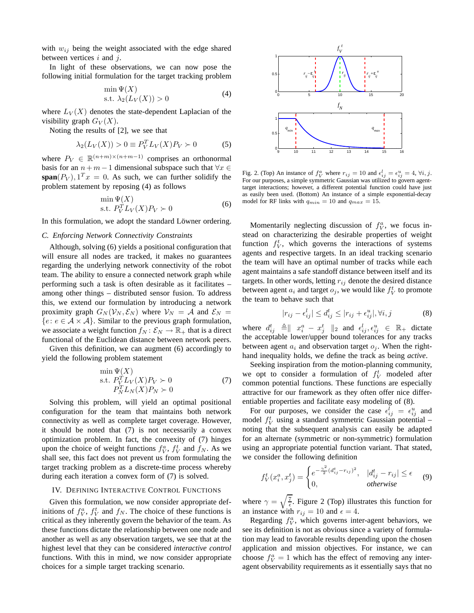with  $w_{ij}$  being the weight associated with the edge shared between vertices  $i$  and  $j$ .

In light of these observations, we can now pose the following initial formulation for the target tracking problem

$$
\min \Psi(X)
$$
  
s.t.  $\lambda_2(L_V(X)) > 0$  (4)

where  $L_V(X)$  denotes the state-dependent Laplacian of the visibility graph  $G_V(X)$ .

Noting the results of [2], we see that

$$
\lambda_2(L_V(X)) > 0 \equiv P_V^T L_V(X) P_V > 0 \tag{5}
$$

where  $P_V \in \mathbb{R}^{(n+m)\times(n+m-1)}$  comprises an orthonormal basis for an  $n + m - 1$  dimensional subspace such that  $\forall x \in$  $\text{span}(P_V)$ ,  $1^T x = 0$ . As such, we can further solidify the problem statement by reposing (4) as follows

$$
\min_{\mathbf{y}} \Psi(X) \n\text{s.t. } P_V^T L_V(X) P_V \succ 0
$$
\n(6)

In this formulation, we adopt the standard Löwner ordering.

# *C. Enforcing Network Connectivity Constraints*

Although, solving (6) yields a positional configuration that will ensure all nodes are tracked, it makes no guarantees regarding the underlying network connectivity of the robot team. The ability to ensure a connected network graph while performing such a task is often desirable as it facilitates – among other things – distributed sensor fusion. To address this, we extend our formulation by introducing a network proximity graph  $G_N(\mathcal{V}_N, \mathcal{E}_N)$  where  $\mathcal{V}_N = \mathcal{A}$  and  $\mathcal{E}_N =$  ${e: e \in \mathcal{A} \times \mathcal{A}}$ . Similar to the previous graph formulation, we associate a weight function  $f_N : \mathcal{E}_N \to \mathbb{R}_+$  that is a direct functional of the Euclidean distance between network peers.

Given this definition, we can augment (6) accordingly to yield the following problem statement

$$
\min \Psi(X)
$$
  
s.t.  $P_V^T L_V(X) P_V \succ 0$   
 $P_N^T L_N(X) P_N \succ 0$  (7)

Solving this problem, will yield an optimal positional configuration for the team that maintains both network connectivity as well as complete target coverage. However, it should be noted that (7) is not necessarily a convex optimization problem. In fact, the convexity of (7) hinges upon the choice of weight functions  $f_V^a$ ,  $f_V^t$  and  $f_N$ . As we shall see, this fact does not prevent us from formulating the target tracking problem as a discrete-time process whereby during each iteration a convex form of (7) is solved.

#### IV. DEFINING INTERACTIVE CONTROL FUNCTIONS

Given this formulation, we now consider appropriate definitions of  $f_V^a$ ,  $f_V^t$  and  $f_N$ . The choice of these functions is critical as they inherently govern the behavior of the team. As these functions dictate the relationship between one node and another as well as any observation targets, we see that at the highest level that they can be considered *interactive control* functions. With this in mind, we now consider appropriate choices for a simple target tracking scenario.



Fig. 2. (Top) An instance of  $f_V^a$  where  $r_{ij} = 10$  and  $\epsilon_{ij}^l = \epsilon_{ij}^u = 4$ ,  $\forall i, j$ . For our purposes, a simple symmetric Gaussian was utilized to govern agenttarget interactions; however, a different potential function could have just as easily been used. (Bottom) An instance of a simple exponential-decay model for RF links with  $q_{min} = 10$  and  $q_{max} = 15$ .

Momentarily neglecting discussion of  $f_V^a$ , we focus instead on characterizing the desirable properties of weight function  $f_V^t$ , which governs the interactions of systems agents and respective targets. In an ideal tracking scenario the team will have an optimal number of tracks while each agent maintains a safe standoff distance between itself and its targets. In other words, letting  $r_{ij}$  denote the desired distance between agent  $a_i$  and target  $o_j$ , we would like  $f_V^t$  to promote the team to behave such that

$$
|r_{ij} - \epsilon_{ij}^l| \le d_{ij}^t \le |r_{ij} + \epsilon_{ij}^u|, \forall i, j
$$
 (8)

where  $d_{ij}^t \triangleq ||x_i^a - x_j^t||_2$  and  $\epsilon_{ij}^l, \epsilon_{ij}^u \in \mathbb{R}_+$  dictate the acceptable lower/upper bound tolerances for any tracks between agent  $a_i$  and observation target  $o_i$ . When the righthand inequality holds, we define the track as being *active*.

Seeking inspiration from the motion-planning community, we opt to consider a formulation of  $f_V^t$  modeled after common potential functions. These functions are especially attractive for our framework as they often offer nice differentiable properties and facilitate easy modeling of (8).

For our purposes, we consider the case  $\epsilon_{ij}^l = \epsilon_{ij}^u$  and model  $f_V^t$  using a standard symmetric Gaussian potential – noting that the subsequent analysis can easily be adapted for an alternate (symmetric or non-symmetric) formulation using an appropriate potential function variant. That stated, we consider the following definition

$$
f_V^t(x_i^a, x_j^t) = \begin{cases} e^{-\frac{\gamma^2}{2}(d_{ij}^t - r_{ij})^2}, & |d_{ij}^t - r_{ij}| \le \epsilon \\ 0, & \text{otherwise} \end{cases}
$$
(9)

where  $\gamma = \sqrt{\frac{7}{\epsilon}}$ . Figure 2 (Top) illustrates this function for an instance with  $r_{ij} = 10$  and  $\epsilon = 4$ .

Regarding  $f_V^a$ , which governs inter-agent behaviors, we see its definition is not as obvious since a variety of formulation may lead to favorable results depending upon the chosen application and mission objectives. For instance, we can choose  $f_V^a = 1$  which has the effect of removing any interagent observability requirements as it essentially says that no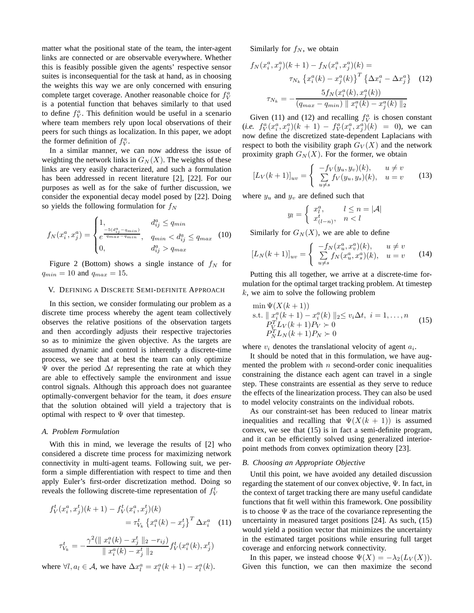matter what the positional state of the team, the inter-agent links are connected or are observable everywhere. Whether this is feasibly possible given the agents' respective sensor suites is inconsequential for the task at hand, as in choosing the weights this way we are only concerned with ensuring complete target coverage. Another reasonable choice for  $f_V^a$ is a potential function that behaves similarly to that used to define  $f_V^a$ . This definition would be useful in a scenario where team members rely upon local observations of their peers for such things as localization. In this paper, we adopt the former definition of  $f_V^a$ .

In a similar manner, we can now address the issue of weighting the network links in  $G_N(X)$ . The weights of these links are very easily characterized, and such a formulation has been addressed in recent literature [2], [22]. For our purposes as well as for the sake of further discussion, we consider the exponential decay model posed by [22]. Doing so yields the following formulation for  $f_N$ 

$$
f_N(x_i^a, x_j^a) = \begin{cases} 1, & d_{ij}^a \le q_{min} \\ e^{\frac{-5(d_{ij}^a - q_{min})}{q_{max} - q_{min}}}, & q_{min} < d_{ij}^a \le q_{max} \\ 0, & d_{ij}^a > q_{max} \end{cases}
$$
 (10)

Figure 2 (Bottom) shows a single instance of  $f_N$  for  $q_{min} = 10$  and  $q_{max} = 15$ .

# V. DEFINING A DISCRETE SEMI-DEFINITE APPROACH

In this section, we consider formulating our problem as a discrete time process whereby the agent team collectively observes the relative positions of the observation targets and then accordingly adjusts their respective trajectories so as to minimize the given objective. As the targets are assumed dynamic and control is inherently a discrete-time process, we see that at best the team can only optimize  $\Psi$  over the period  $\Delta t$  representing the rate at which they are able to effectively sample the environment and issue control signals. Although this approach does not guarantee optimally-convergent behavior for the team, it *does ensure* that the solution obtained will yield a trajectory that is optimal with respect to  $\Psi$  over that timestep.

#### *A. Problem Formulation*

With this in mind, we leverage the results of [2] who considered a discrete time process for maximizing network connectivity in multi-agent teams. Following suit, we perform a simple differentiation with respect to time and then apply Euler's first-order discretization method. Doing so reveals the following discrete-time representation of  $f_V^t$ 

$$
f_V^t(x_i^a, x_j^t)(k+1) - f_V^t(x_i^a, x_j^t)(k)
$$
  
=  $\tau_{V_k}^t \left\{ x_i^a(k) - x_j^t \right\}^T \Delta x_i^a$  (11)  

$$
\tau_{V_k}^t = -\frac{\gamma^2 (\parallel x_i^a(k) - x_j^t \parallel_2 - r_{ij})}{\parallel x_i^a(k) - x_j^t \parallel_2} f_V^t(x_i^a(k), x_j^t)
$$

where  $\forall l, a_l \in \mathcal{A}$ , we have  $\Delta x_l^a = x_l^a(k+1) - x_l^a(k)$ .

Similarly for  $f_N$ , we obtain

$$
f_N(x_i^a, x_j^a)(k+1) - f_N(x_i^a, x_j^a)(k) =
$$
  

$$
\tau_{N_k} \left\{ x_i^a(k) - x_j^a(k) \right\}^T \left\{ \Delta x_i^a - \Delta x_j^a \right\} \quad (12)
$$
  

$$
\tau_{N_k} = -\frac{5f_N(x_i^a(k), x_j^a(k))}{(q_{max} - q_{min}) \| x_i^a(k) - x_j^a(k) \|_2}
$$

Given (11) and (12) and recalling  $f_V^a$  is chosen constant  $(i.e. \, f_V^a(x_i^a, x_j^a)(k+1) - f_V^a(x_i^a, x_j^a)(k) = 0$ , we can now define the discretized state-dependent Laplacians with respect to both the visibility graph  $G_V(X)$  and the network proximity graph  $G_N(X)$ . For the former, we obtain

$$
[L_V(k+1)]_{uv} = \begin{cases} -f_V(y_u, y_v)(k), & u \neq v \\ \sum_{u \neq s} f_V(y_u, y_s)(k), & u = v \end{cases}
$$
(13)

where  $y_u$  and  $y_v$  are defined such that

$$
y_l = \begin{cases} x_l^a, & l \le n = |\mathcal{A}| \\ x_{(l-n)}^t, & n < l \end{cases}
$$

Similarly for  $G_N(X)$ , we are able to define

$$
[L_N(k+1)]_{uv} = \begin{cases} -f_N(x_u^a, x_v^a)(k), & u \neq v \\ \sum_{u \neq s} f_N(x_u^a, x_s^a)(k), & u = v \end{cases}
$$
 (14)

Putting this all together, we arrive at a discrete-time formulation for the optimal target tracking problem. At timestep  $k$ , we aim to solve the following problem

$$
\min \Psi(X(k+1)) \n\text{s.t. } \|x_i^a(k+1) - x_i^a(k)\|_2 \le v_i \Delta t, \ i = 1, ..., n \n\Pr_{V}^T L_V(k+1) P_V \succ 0 \nP_N^T L_N(k+1) P_N \succ 0
$$
\n(15)

where  $v_i$  denotes the translational velocity of agent  $a_i$ .

It should be noted that in this formulation, we have augmented the problem with  $n$  second-order conic inequalities constraining the distance each agent can travel in a single step. These constraints are essential as they serve to reduce the effects of the linearization process. They can also be used to model velocity constraints on the individual robots.

As our constraint-set has been reduced to linear matrix inequalities and recalling that  $\Psi(X(k + 1))$  is assumed convex, we see that (15) is in fact a semi-definite program, and it can be efficiently solved using generalized interiorpoint methods from convex optimization theory [23].

### *B. Choosing an Appropriate Objective*

Until this point, we have avoided any detailed discussion regarding the statement of our convex objective, Ψ. In fact, in the context of target tracking there are many useful candidate functions that fit well within this framework. One possibility is to choose  $\Psi$  as the trace of the covariance representing the uncertainty in measured target positions [24]. As such, (15) would yield a position vector that minimizes the uncertainty in the estimated target positions while ensuring full target coverage and enforcing network connectivity.

In this paper, we instead choose  $\Psi(X) = -\lambda_2(L_V(X))$ . Given this function, we can then maximize the second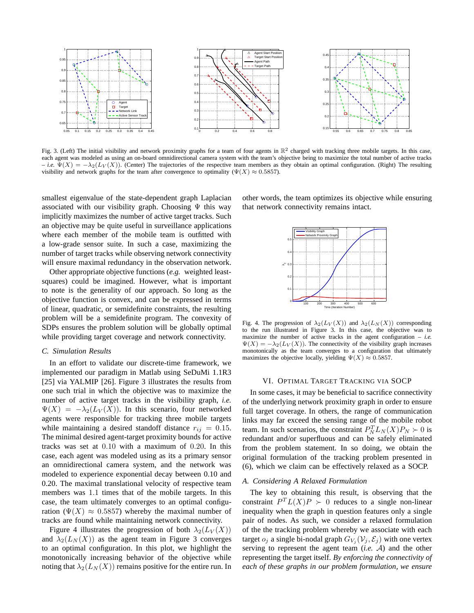

Fig. 3. (Left) The initial visibility and network proximity graphs for a team of four agents in  $\mathbb{R}^2$  charged with tracking three mobile targets. In this case, each agent was modeled as using an on-board omnidirectional camera system with the team's objective being to maximize the total number of active tracks  $-i.e. \Psi(X) = -\lambda_2(L_V(X))$ . (Center) The trajectories of the respective team members as they obtain an optimal configuration. (Right) The resulting visibility and network graphs for the team after convergence to optimality ( $\Psi(X) \approx 0.5857$ ).

smallest eigenvalue of the state-dependent graph Laplacian associated with our visibility graph. Choosing  $\Psi$  this way implicitly maximizes the number of active target tracks. Such an objective may be quite useful in surveillance applications where each member of the mobile team is outfitted with a low-grade sensor suite. In such a case, maximizing the number of target tracks while observing network connectivity will ensure maximal redundancy in the observation network.

Other appropriate objective functions (*e.g.* weighted leastsquares) could be imagined. However, what is important to note is the generality of our approach. So long as the objective function is convex, and can be expressed in terms of linear, quadratic, or semidefinite constraints, the resulting problem will be a semidefinite program. The convexity of SDPs ensures the problem solution will be globally optimal while providing target coverage and network connectivity.

# *C. Simulation Results*

In an effort to validate our discrete-time framework, we implemented our paradigm in Matlab using SeDuMi 1.1R3 [25] via YALMIP [26]. Figure 3 illustrates the results from one such trial in which the objective was to maximize the number of active target tracks in the visibility graph, *i.e.*  $\Psi(X) = -\lambda_2(L_V(X))$ . In this scenario, four networked agents were responsible for tracking three mobile targets while maintaining a desired standoff distance  $r_{ij} = 0.15$ . The minimal desired agent-target proximity bounds for active tracks was set at 0.10 with a maximum of 0.20. In this case, each agent was modeled using as its a primary sensor an omnidirectional camera system, and the network was modeled to experience exponential decay between 0.10 and 0.20. The maximal translational velocity of respective team members was 1.1 times that of the mobile targets. In this case, the team ultimately converges to an optimal configuration ( $\Psi(X) \approx 0.5857$ ) whereby the maximal number of tracks are found while maintaining network connectivity.

Figure 4 illustrates the progression of both  $\lambda_2(L_V(X))$ and  $\lambda_2(L_N(X))$  as the agent team in Figure 3 converges to an optimal configuration. In this plot, we highlight the monotonically increasing behavior of the objective while noting that  $\lambda_2(L_N(X))$  remains positive for the entire run. In other words, the team optimizes its objective while ensuring that network connectivity remains intact.



Fig. 4. The progression of  $\lambda_2(L_V(X))$  and  $\lambda_2(L_N(X))$  corresponding to the run illustrated in Figure 3. In this case, the objective was to maximize the number of active tracks in the agent configuration – *i.e.*  $\Psi(X) = -\lambda_2(L_V(X))$ . The connectivity of the visibility graph increases monotonically as the team converges to a configuration that ultimately maximizes the objective locally, yielding  $\Psi(X) \approx 0.5857$ .

# VI. OPTIMAL TARGET TRACKING VIA SOCP

In some cases, it may be beneficial to sacrifice connectivity of the underlying network proximity graph in order to ensure full target coverage. In others, the range of communication links may far exceed the sensing range of the mobile robot team. In such scenarios, the constraint  $P_N^T L_N(X) P_N \succ 0$  is redundant and/or superfluous and can be safely eliminated from the problem statement. In so doing, we obtain the original formulation of the tracking problem presented in (6), which we claim can be effectively relaxed as a SOCP.

#### *A. Considering A Relaxed Formulation*

The key to obtaining this result, is observing that the constraint  $P^{T}L(X)P \succ 0$  reduces to a single non-linear inequality when the graph in question features only a single pair of nodes. As such, we consider a relaxed formulation of the the tracking problem whereby we associate with each target  $o_j$  a single bi-nodal graph  $G_{V_j}(\mathcal{V}_j, \mathcal{E}_j)$  with one vertex serving to represent the agent team (*i.e.* A) and the other representing the target itself. *By enforcing the connectivity of each of these graphs in our problem formulation, we ensure*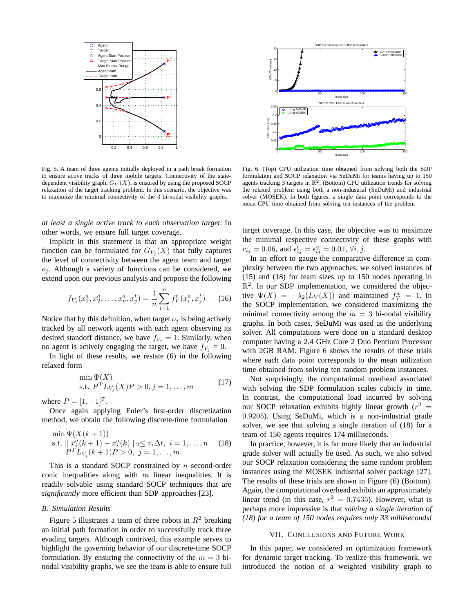

Fig. 5. A team of three agents initially deployed in a path break formation to ensure active tracks of three mobile targets. Connectivity of the statedependent visibility graph,  $G_V(X)$ , is ensured by using the proposed SOCP relaxation of the target tracking problem. In this scenario, the objective was to maximize the minimal connectivity of the 3 bi-nodal visibility graphs.

*at least a single active track to each observation target*. In other words, we ensure full target coverage.

Implicit in this statement is that an appropriate weight function can be formulated for  $G_{V_j}(X)$  that fully captures the level of connectivity between the agent team and target  $o_i$ . Although a variety of functions can be considered, we extend upon our previous analysis and propose the following

$$
f_{V_j}(x_1^a, x_2^a, \dots, x_n^a, x_j^t) = \frac{1}{n} \sum_{i=1}^n f_V^t(x_i^a, x_j^t) \qquad (16)
$$

Notice that by this definition, when target  $o_j$  is being actively tracked by all network agents with each agent observing its desired standoff distance, we have  $f_{v_i} = 1$ . Similarly, when no agent is actively engaging the target, we have  $f_{V_i} = 0$ .

In light of these results, we restate (6) in the following relaxed form

$$
\min_{\mathbf{S}.\mathbf{t}} \Psi(X) \n\text{s.t. } P^T L_{V_j}(X) P > 0, j = 1, \dots, m
$$
\n(17)

where  $P = [1, -1]^T$ .

Once again applying Euler's first-order discretization method, we obtain the following discrete-time formulation

$$
\min_{\mathbf{S} \in \mathcal{X}} \Psi(X(k+1))
$$
  
s.t.  $||x_i^a(k+1) - x_i^a(k)||_2 \le v_i \Delta t, \ i = 1, ..., n$  (18)  

$$
P^T L_{V_j}(k+1)P > 0, \ j = 1, ..., m
$$

This is a standard SOCP constrained by  $n$  second-order conic inequalities along with  $m$  linear inequalities. It is readily solvable using standard SOCP techniques that are *significantly* more efficient than SDP approaches [23].

#### *B. Simulation Results*

Figure 5 illustrates a team of three robots in  $R^2$  breaking an initial path formation in order to successfully track three evading targets. Although contrived, this example serves to highlight the governing behavior of our discrete-time SOCP formulation. By ensuring the connectivity of the  $m = 3$  binodal visibility graphs, we see the team is able to ensure full



Fig. 6. (Top) CPU utilization time obtained from solving both the SDP formulation and SOCP relaxation via SeDuMi for teams having up to 150 agents tracking 3 targets in  $\mathbb{R}^2$ . (Bottom) CPU utilization trends for solving the relaxed problem using both a non-industrial (SeDuMi) and industrial solver (MOSEK). In both figures, a single data point corresponds to the mean CPU time obtained from solving ten instances of the problem

target coverage. In this case, the objective was to maximize the minimal respective connectivity of these graphs with  $r_{ij} = 0.06$ , and  $\epsilon_{ij}^l = \epsilon_{ij}^u = 0.04$ ,  $\forall i, j$ .

In an effort to gauge the comparative difference in complexity between the two approaches, we solved instances of (15) and (18) for team sizes up to 150 nodes operating in  $\mathbb{R}^2$ . In our SDP implementation, we considered the objective  $\Psi(X) = -\lambda_2(L_V(X))$  and maintained  $f_V^a = 1$ . In the SOCP implementation, we considered maximizing the minimal connectivity among the  $m = 3$  bi-nodal visibility graphs. In both cases, SeDuMi was used as the underlying solver. All computations were done on a standard desktop computer having a 2.4 GHz Core 2 Duo Pentium Processor with 2GB RAM. Figure 6 shows the results of these trials where each data point corresponds to the mean utilization time obtained from solving ten random problem instances.

Not surprisingly, the computational overhead associated with solving the SDP formulation scales cubicly in time. In contrast, the computational load incurred by solving our SOCP relaxation exhibits highly linear growth ( $r^2 =$ 0.9205). Using SeDuMi, which is a non-industrial grade solver, we see that solving a single iteration of (18) for a team of 150 agents requires 174 milliseconds.

In practice, however, it is far more likely that an industrial grade solver will actually be used. As such, we also solved our SOCP relaxation considering the same random problem instances using the MOSEK industrial solver package [27]. The results of these trials are shown in Figure (6) (Bottom). Again, the computational overhead exhibits an approximately linear trend (in this case,  $r^2 = 0.7435$ ). However, what is perhaps more impressive is that *solving a single iteration of (18) for a team of 150 nodes requires only 33 milliseconds!*

#### VII. CONCLUSIONS AND FUTURE WORK

In this paper, we considered an optimization framework for dynamic target tracking. To realize this framework, we introduced the notion of a weighted visibility graph to